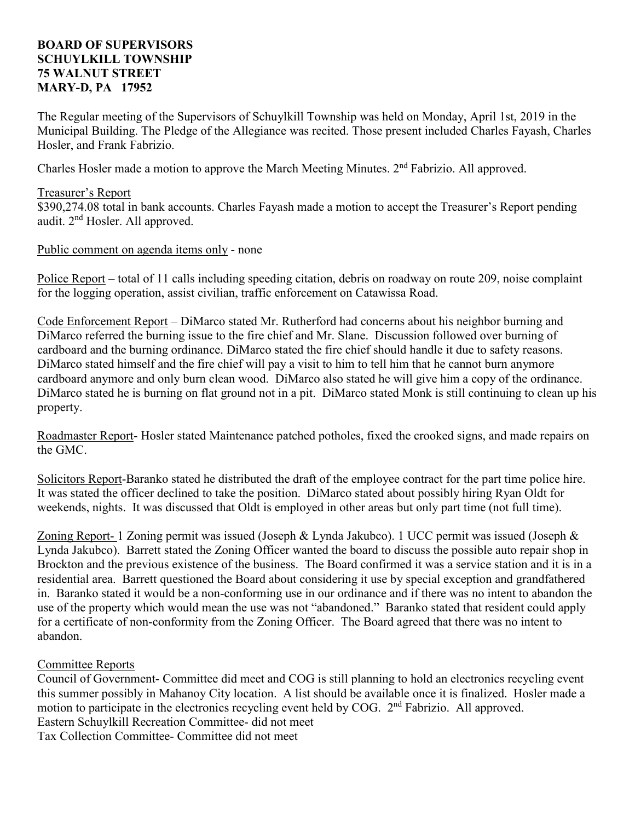## **BOARD OF SUPERVISORS SCHUYLKILL TOWNSHIP 75 WALNUT STREET MARY-D, PA 17952**

The Regular meeting of the Supervisors of Schuylkill Township was held on Monday, April 1st, 2019 in the Municipal Building. The Pledge of the Allegiance was recited. Those present included Charles Fayash, Charles Hosler, and Frank Fabrizio.

Charles Hosler made a motion to approve the March Meeting Minutes. 2nd Fabrizio. All approved.

# Treasurer's Report

\$390,274.08 total in bank accounts. Charles Fayash made a motion to accept the Treasurer's Report pending audit. 2nd Hosler. All approved.

## Public comment on agenda items only - none

Police Report – total of 11 calls including speeding citation, debris on roadway on route 209, noise complaint for the logging operation, assist civilian, traffic enforcement on Catawissa Road.

Code Enforcement Report – DiMarco stated Mr. Rutherford had concerns about his neighbor burning and DiMarco referred the burning issue to the fire chief and Mr. Slane. Discussion followed over burning of cardboard and the burning ordinance. DiMarco stated the fire chief should handle it due to safety reasons. DiMarco stated himself and the fire chief will pay a visit to him to tell him that he cannot burn anymore cardboard anymore and only burn clean wood. DiMarco also stated he will give him a copy of the ordinance. DiMarco stated he is burning on flat ground not in a pit. DiMarco stated Monk is still continuing to clean up his property.

Roadmaster Report- Hosler stated Maintenance patched potholes, fixed the crooked signs, and made repairs on the GMC.

Solicitors Report-Baranko stated he distributed the draft of the employee contract for the part time police hire. It was stated the officer declined to take the position. DiMarco stated about possibly hiring Ryan Oldt for weekends, nights. It was discussed that Oldt is employed in other areas but only part time (not full time).

Zoning Report- 1 Zoning permit was issued (Joseph & Lynda Jakubco). 1 UCC permit was issued (Joseph & Lynda Jakubco). Barrett stated the Zoning Officer wanted the board to discuss the possible auto repair shop in Brockton and the previous existence of the business. The Board confirmed it was a service station and it is in a residential area. Barrett questioned the Board about considering it use by special exception and grandfathered in. Baranko stated it would be a non-conforming use in our ordinance and if there was no intent to abandon the use of the property which would mean the use was not "abandoned." Baranko stated that resident could apply for a certificate of non-conformity from the Zoning Officer. The Board agreed that there was no intent to abandon.

## Committee Reports

Council of Government- Committee did meet and COG is still planning to hold an electronics recycling event this summer possibly in Mahanoy City location. A list should be available once it is finalized. Hosler made a motion to participate in the electronics recycling event held by COG. 2<sup>nd</sup> Fabrizio. All approved. Eastern Schuylkill Recreation Committee- did not meet Tax Collection Committee- Committee did not meet